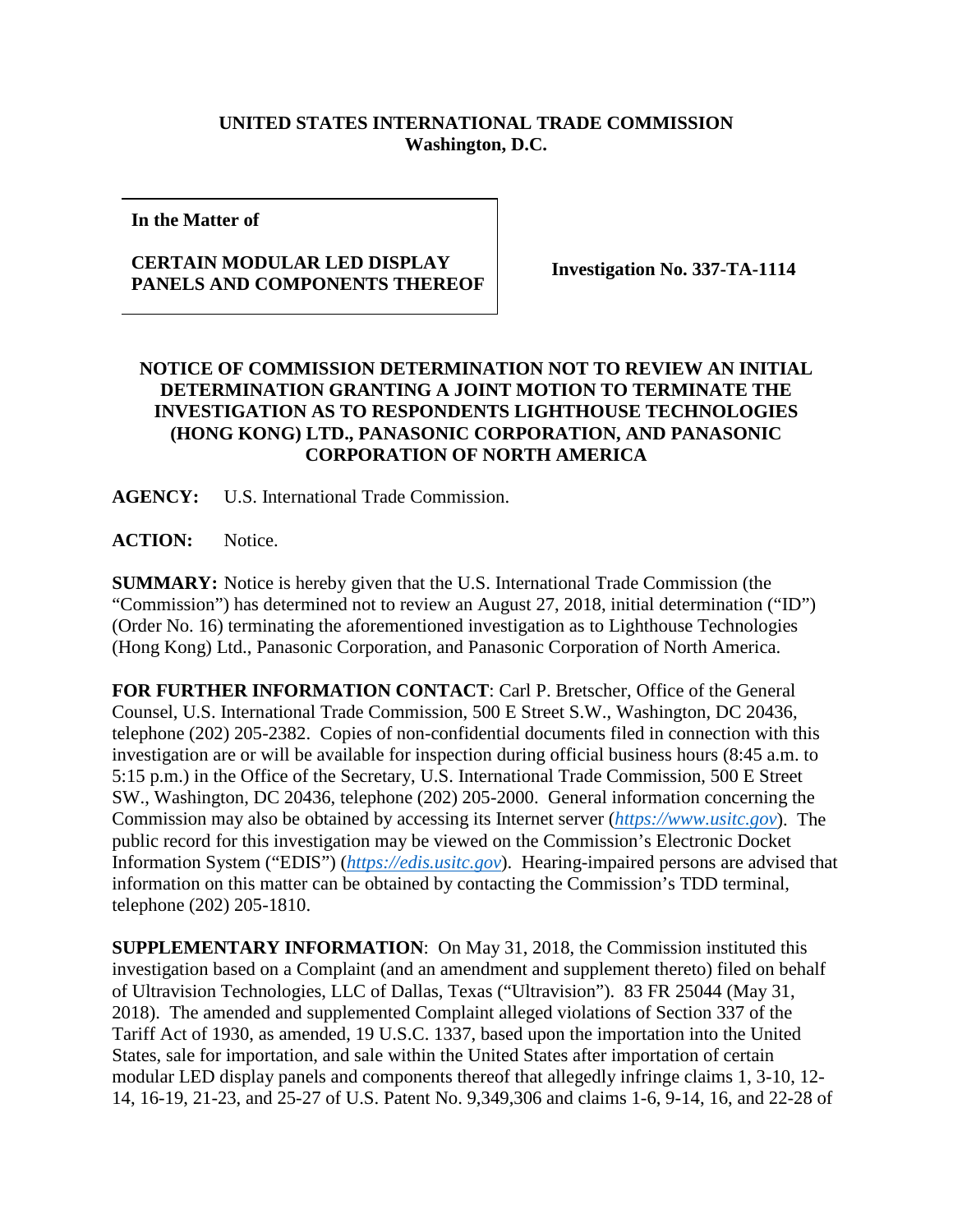## **UNITED STATES INTERNATIONAL TRADE COMMISSION Washington, D.C.**

**In the Matter of**

## **CERTAIN MODULAR LED DISPLAY PANELS AND COMPONENTS THEREOF Investigation No. 337-TA-1114**

## **NOTICE OF COMMISSION DETERMINATION NOT TO REVIEW AN INITIAL DETERMINATION GRANTING A JOINT MOTION TO TERMINATE THE INVESTIGATION AS TO RESPONDENTS LIGHTHOUSE TECHNOLOGIES (HONG KONG) LTD., PANASONIC CORPORATION, AND PANASONIC CORPORATION OF NORTH AMERICA**

**AGENCY:** U.S. International Trade Commission.

**ACTION:** Notice.

**SUMMARY:** Notice is hereby given that the U.S. International Trade Commission (the "Commission") has determined not to review an August 27, 2018, initial determination ("ID") (Order No. 16) terminating the aforementioned investigation as to Lighthouse Technologies (Hong Kong) Ltd., Panasonic Corporation, and Panasonic Corporation of North America.

**FOR FURTHER INFORMATION CONTACT**: Carl P. Bretscher, Office of the General Counsel, U.S. International Trade Commission, 500 E Street S.W., Washington, DC 20436, telephone (202) 205-2382. Copies of non-confidential documents filed in connection with this investigation are or will be available for inspection during official business hours (8:45 a.m. to 5:15 p.m.) in the Office of the Secretary, U.S. International Trade Commission, 500 E Street SW., Washington, DC 20436, telephone (202) 205-2000. General information concerning the Commission may also be obtained by accessing its Internet server (*[https://www.usitc.gov](https://www.usitc.gov/)*). The public record for this investigation may be viewed on the Commission's Electronic Docket Information System ("EDIS") (*[https://edis.usitc.gov](https://edis.usitc.gov/)*). Hearing-impaired persons are advised that information on this matter can be obtained by contacting the Commission's TDD terminal, telephone (202) 205-1810.

**SUPPLEMENTARY INFORMATION**: On May 31, 2018, the Commission instituted this investigation based on a Complaint (and an amendment and supplement thereto) filed on behalf of Ultravision Technologies, LLC of Dallas, Texas ("Ultravision"). 83 FR 25044 (May 31, 2018). The amended and supplemented Complaint alleged violations of Section 337 of the Tariff Act of 1930, as amended, 19 U.S.C. 1337, based upon the importation into the United States, sale for importation, and sale within the United States after importation of certain modular LED display panels and components thereof that allegedly infringe claims 1, 3-10, 12- 14, 16-19, 21-23, and 25-27 of U.S. Patent No. 9,349,306 and claims 1-6, 9-14, 16, and 22-28 of